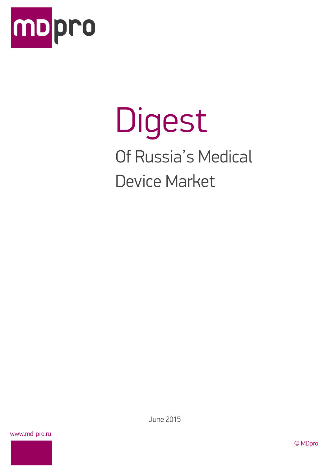

# Digest Of Russia's Medical Device Market

www.md-pro.ru

June 2015

© MDpro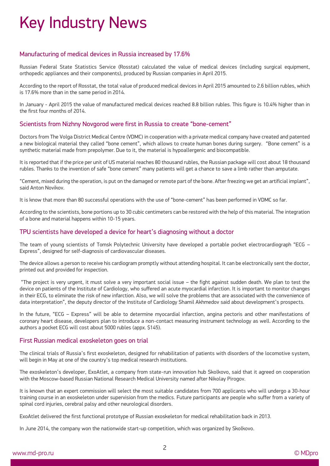## Key Industry News

#### Manufacturing of medical devices in Russia increased by 17.6%

Russian Federal State Statistics Service (Rosstat) calculated the value of medical devices (including surgical equipment, orthopedic appliances and their components), produced by Russian companies in April 2015.

According to the report of Rosstat, the total value of produced medical devices in April 2015 amounted to 2.6 billion rubles, which is 17.6% more than in the same period in 2014.

In January - April 2015 the value of manufactured medical devices reached 8.8 billion rubles. This figure is 10.4% higher than in the first four months of 2014.

#### Scientists from Nizhny Novgorod were first in Russia to create "bone-cement"

Doctors from The Volga District Medical Centre (VDMC) in cooperation with a private medical company have created and patented a new biological material they called "bone cement", which allows to create human bones during surgery. "Bone cement" is a synthetic material made from prepolymer. Due to it, the material is hypoallergenic and biocompatible.

It is reported that if the price per unit of US material reaches 80 thousand rubles, the Russian package will cost about 18 thousand rubles. Thanks to the invention of safe "bone cement" many patients will get a chance to save a limb rather than amputate.

"Cement, mixed during the operation, is put on the damaged or remote part of the bone. After freezing we get an artificial implant", said Anton Novikov.

It is know that more than 80 successful operations with the use of "bone-cement" has been performed in VDMC so far.

According to the scientists, bone portions up to 30 cubic centimeters can be restored with the help of this material. The integration of a bone and material happens within 10-15 years.

#### TPU scientists have developed a device for heart's diagnosing without a doctor

The team of young scientists of Tomsk Polytechnic University have developed a portable pocket electrocardiograph "ECG – Express", designed for self-diagnosis of cardiovascular diseases.

The device allows a person to receive his cardiogram promptly without attending hospital. It can be electronically sent the doctor, printed out and provided for inspection.

"The project is very urgent, it must solve a very important social issue – the fight against sudden death. We plan to test the device on patients of the Institute of Cardiology, who suffered an acute myocardial infarction. It is important to monitor changes in their ECG, to eliminate the risk of new infarction. Also, we will solve the problems that are associated with the convenience of data interpretation", the deputy director of the Institute of Cardiology Shamil Akhmedov said about development's prospects.

In the future, "ECG – Express" will be able to determine myocardial infarction, angina pectoris and other manifestations of coronary heart disease, developers plan to introduce a non-contact measuring instrument technology as well. According to the authors a pocket ECG will cost about 5000 rubles (appx. \$145).

#### First Russian medical exoskeleton goes on trial

The clinical trials of Russia's first exoskeleton, designed for rehabilitation of patients with disorders of the locomotive system, will begin in May at one of the country's top medical research institutions.

The exoskeleton's developer, ExoAtlet, a company from state-run innovation hub Skolkovo, said that it agreed on cooperation with the Moscow-based Russian National Research Medical University named after Nikolay Pirogov.

It is known that an expert commission will select the most suitable candidates from 700 applicants who will undergo a 30-hour training course in an exoskeleton under supervision from the medics. Future participants are people who suffer from a variety of spinal cord injuries, cerebral palsy and other neurological disorders.

ExoAtlet delivered the first functional prototype of Russian exoskeleton for medical rehabilitation back in 2013.

In June 2014, the company won the nationwide start-up competition, which was organized by Skolkovo.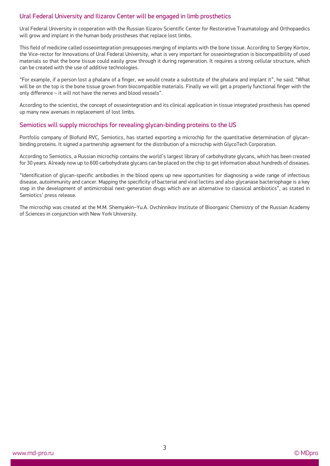#### Ural Federal University and Ilizarov Center will be engaged in limb prosthetics

Ural Federal University in cooperation with the Russian Ilizarov Scientific Center for Restorative Traumatology and Orthopaedics will grow and implant in the human body prostheses that replace lost limbs.

This field of medicine called osseointegration presupposes merging of implants with the bone tissue. According to Sergey Kortov, the Vice-rector for Innovations of Ural Federal University, what is very important for osseointegration is biocompatibility of used materials so that the bone tissue could easily grow through it during regeneration. It requires a strong cellular structure, which can be created with the use of additive technologies.

"For example, if a person lost a phalanx of a finger, we would create a substitute of the phalanx and implant it", he said. "What will be on the top is the bone tissue grown from biocompatible materials. Finally we will get a properly functional finger with the only difference – it will not have the nerves and blood vessels".

According to the scientist, the concept of osseointegration and its clinical application in tissue integrated prosthesis has opened up many new avenues in replacement of lost limbs.

#### Semiotics will supply microchips for revealing glycan-binding proteins to the US

Portfolio company of Biofund RVC, Semiotics, has started exporting a microchip for the quantitative determination of glycanbinding proteins. It signed a partnership agreement for the distribution of a microchip with GlycoTech Corporation.

According to Semiotics, a Russian microchip contains the world's largest library of carbohydrate glycans, which has been created for 30 years. Already now up to 600 carbohydrate glycans can be placed on the chip to get information about hundreds of diseases.

"Identification of glycan-specific antibodies in the blood opens up new opportunities for diagnosing a wide range of infectious disease, autoimmunity and cancer. Mapping the specificity of bacterial and viral lectins and also glycanase bacteriophage is a key step in the development of antimicrobial next-generation drugs which are an alternative to classical antibiotics", as stated in Semiotics' press release.

The microchip was created at the M.M. Shemyakin–Yu.A. Ovchinnikov Institute of Bioorganic Chemistry of the Russian Academy of Sciences in conjunction with New York University.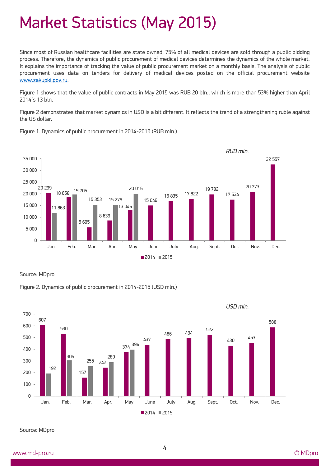### Market Statistics (May 2015)

Since most of Russian healthcare facilities are state owned, 75% of all medical devices are sold through a public bidding process. Therefore, the dynamics of public procurement of medical devices determines the dynamics of the whole market. It explains the importance of tracking the value of public procurement market on a monthly basis. The analysis of public procurement uses data on tenders for delivery of medical devices posted on the official procurement website [www.zakupki.gov.ru.](http://www.zakupki.gov.ru/)

Figure 1 shows that the value of public contracts in May 2015 was RUB 20 bln., which is more than 53% higher than April 2014's 13 bln.

Figure 2 demonstrates that market dynamics in USD is a bit different. It reflects the trend of a strengthening ruble against the US dollar.



Figure 1. Dynamics of public procurement in 2014-2015 (RUB mln.)

Source: MDpro





Source: MDpro